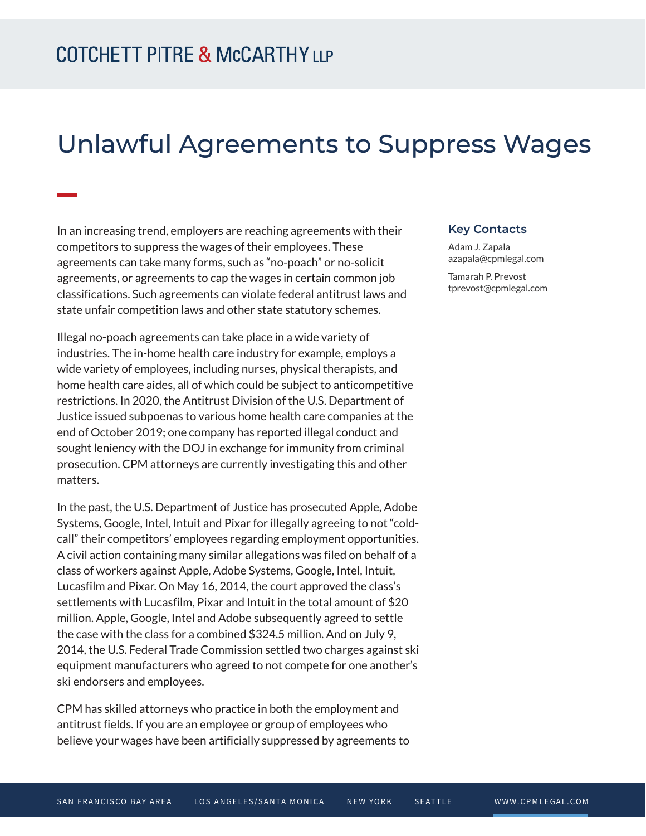**William** 

## Unlawful Agreements to Suppress Wages

In an increasing trend, employers are reaching agreements with their competitors to suppress the wages of their employees. These agreements can take many forms, such as "no-poach" or no-solicit agreements, or agreements to cap the wages in certain common job classifications. Such agreements can violate federal antitrust laws and state unfair competition laws and other state statutory schemes.

Illegal no-poach agreements can take place in a wide variety of industries. The in-home health care industry for example, employs a wide variety of employees, including nurses, physical therapists, and home health care aides, all of which could be subject to anticompetitive restrictions. In 2020, the Antitrust Division of the U.S. Department of Justice issued subpoenas to various home health care companies at the end of October 2019; one company has reported illegal conduct and sought leniency with the DOJ in exchange for immunity from criminal prosecution. CPM attorneys are currently investigating this and other matters.

In the past, the U.S. Department of Justice has prosecuted Apple, Adobe Systems, Google, Intel, Intuit and Pixar for illegally agreeing to not "coldcall" their competitors' employees regarding employment opportunities. A civil action containing many similar allegations was filed on behalf of a class of workers against Apple, Adobe Systems, Google, Intel, Intuit, Lucasfilm and Pixar. On May 16, 2014, the court approved the class's settlements with Lucasfilm, Pixar and Intuit in the total amount of \$20 million. Apple, Google, Intel and Adobe subsequently agreed to settle the case with the class for a combined \$324.5 million. And on July 9, 2014, the U.S. Federal Trade Commission settled two charges against ski equipment manufacturers who agreed to not compete for one another's ski endorsers and employees.

CPM has skilled attorneys who practice in both the employment and antitrust fields. If you are an employee or group of employees who believe your wages have been artificially suppressed by agreements to

## **Key Contacts**

Adam J. Zapala azapala@cpmlegal.com

Tamarah P. Prevost tprevost@cpmlegal.com